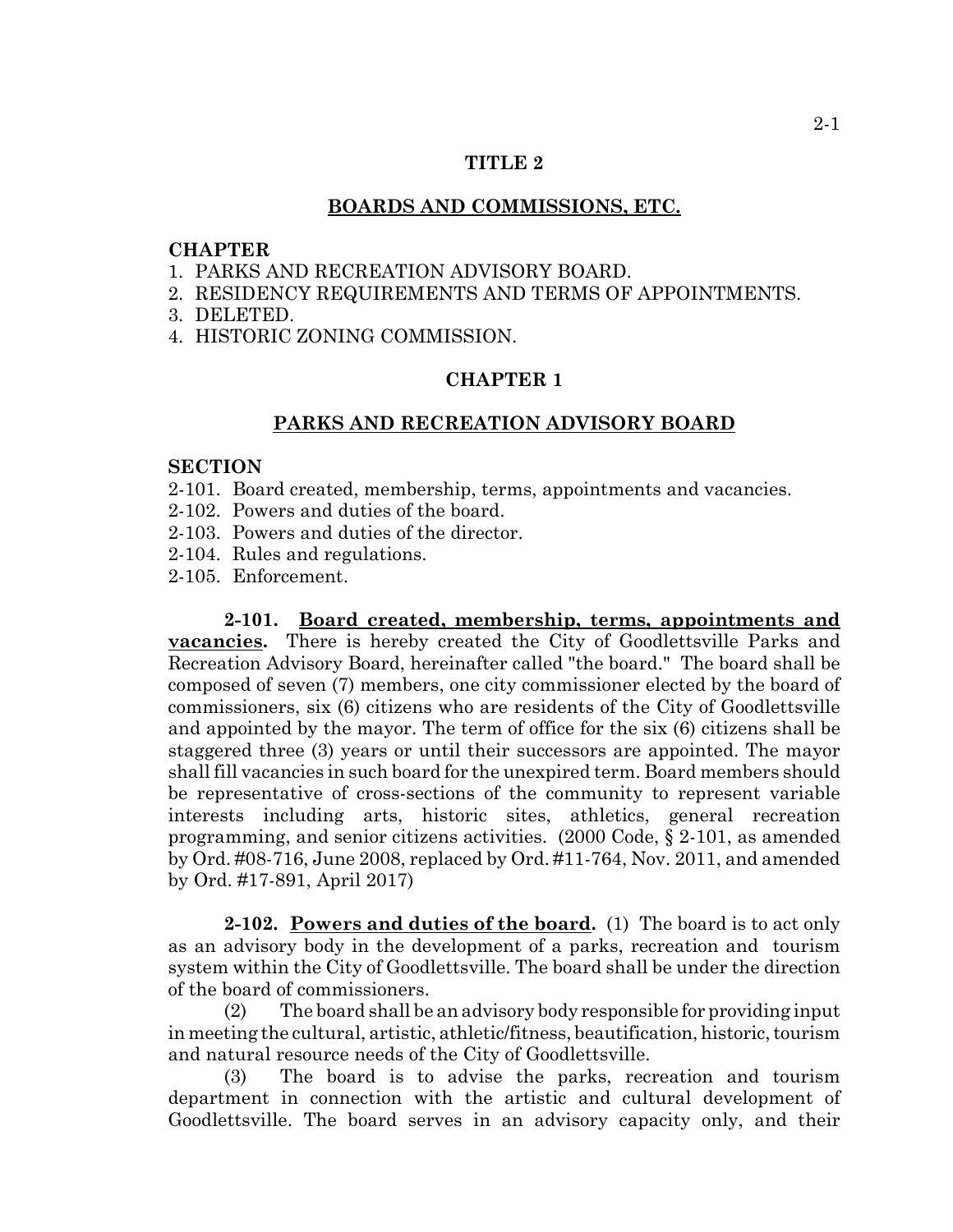## **TITLE 2**

#### **BOARDS AND COMMISSIONS, ETC.**

## **CHAPTER**

- 1. PARKS AND RECREATION ADVISORY BOARD.
- 2. RESIDENCY REQUIREMENTS AND TERMS OF APPOINTMENTS.
- 3. DELETED.
- 4. HISTORIC ZONING COMMISSION.

# **CHAPTER 1**

#### **PARKS AND RECREATION ADVISORY BOARD**

### **SECTION**

- 2-101. Board created, membership, terms, appointments and vacancies.
- 2-102. Powers and duties of the board.
- 2-103. Powers and duties of the director.
- 2-104. Rules and regulations.
- 2-105. Enforcement.

**2-101. Board created, membership, terms, appointments and vacancies.** There is hereby created the City of Goodlettsville Parks and Recreation Advisory Board, hereinafter called "the board." The board shall be composed of seven (7) members, one city commissioner elected by the board of commissioners, six (6) citizens who are residents of the City of Goodlettsville and appointed by the mayor. The term of office for the six (6) citizens shall be staggered three (3) years or until their successors are appointed. The mayor shall fill vacancies in such board for the unexpired term. Board members should be representative of cross-sections of the community to represent variable interests including arts, historic sites, athletics, general recreation programming, and senior citizens activities. (2000 Code, § 2-101, as amended by Ord. #08-716, June 2008, replaced by Ord. #11-764, Nov. 2011, and amended by Ord. #17-891, April 2017)

**2-102. Powers and duties of the board.** (1) The board is to act only as an advisory body in the development of a parks, recreation and tourism system within the City of Goodlettsville. The board shall be under the direction of the board of commissioners.

(2) The board shall be an advisory body responsible for providing input in meeting the cultural, artistic, athletic/fitness, beautification, historic, tourism and natural resource needs of the City of Goodlettsville.

(3) The board is to advise the parks, recreation and tourism department in connection with the artistic and cultural development of Goodlettsville. The board serves in an advisory capacity only, and their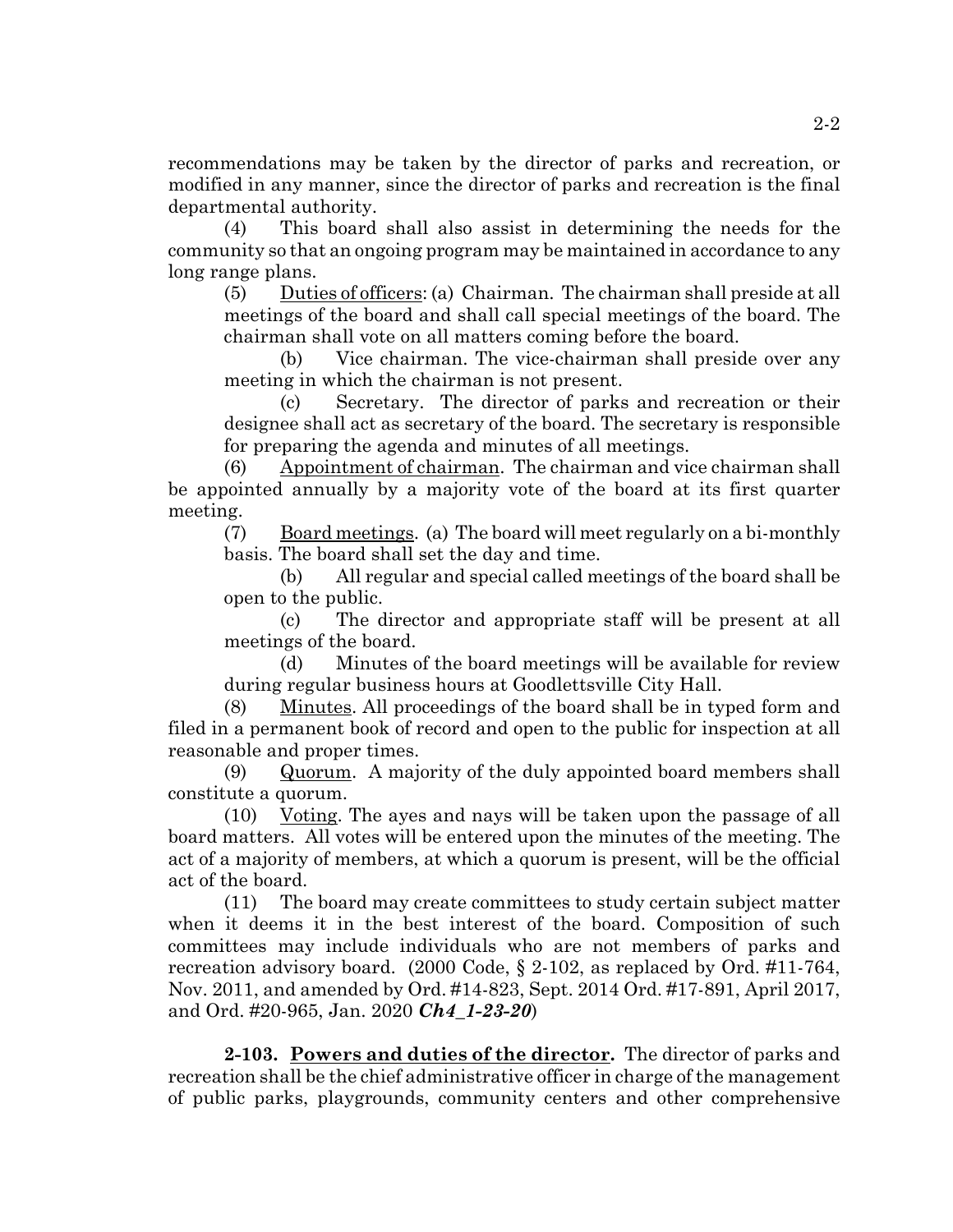recommendations may be taken by the director of parks and recreation, or modified in any manner, since the director of parks and recreation is the final departmental authority.

(4) This board shall also assist in determining the needs for the community so that an ongoing program may be maintained in accordance to any long range plans.

(5) Duties of officers: (a) Chairman. The chairman shall preside at all meetings of the board and shall call special meetings of the board. The chairman shall vote on all matters coming before the board.

(b) Vice chairman. The vice-chairman shall preside over any meeting in which the chairman is not present.

(c) Secretary. The director of parks and recreation or their designee shall act as secretary of the board. The secretary is responsible for preparing the agenda and minutes of all meetings.

(6) Appointment of chairman. The chairman and vice chairman shall be appointed annually by a majority vote of the board at its first quarter meeting.

(7) Board meetings. (a) The board will meet regularly on a bi-monthly basis. The board shall set the day and time.

(b) All regular and special called meetings of the board shall be open to the public.

(c) The director and appropriate staff will be present at all meetings of the board.

(d) Minutes of the board meetings will be available for review during regular business hours at Goodlettsville City Hall.

(8) Minutes. All proceedings of the board shall be in typed form and filed in a permanent book of record and open to the public for inspection at all reasonable and proper times.

(9) Quorum. A majority of the duly appointed board members shall constitute a quorum.

(10) Voting. The ayes and nays will be taken upon the passage of all board matters. All votes will be entered upon the minutes of the meeting. The act of a majority of members, at which a quorum is present, will be the official act of the board.

(11) The board may create committees to study certain subject matter when it deems it in the best interest of the board. Composition of such committees may include individuals who are not members of parks and recreation advisory board. (2000 Code, § 2-102, as replaced by Ord. #11-764, Nov. 2011, and amended by Ord. #14-823, Sept. 2014 Ord. #17-891, April 2017, and Ord. #20-965, Jan. 2020 *Ch4\_1-23-20*)

**2-103. Powers and duties of the director.** The director of parks and recreation shall be the chief administrative officer in charge of the management of public parks, playgrounds, community centers and other comprehensive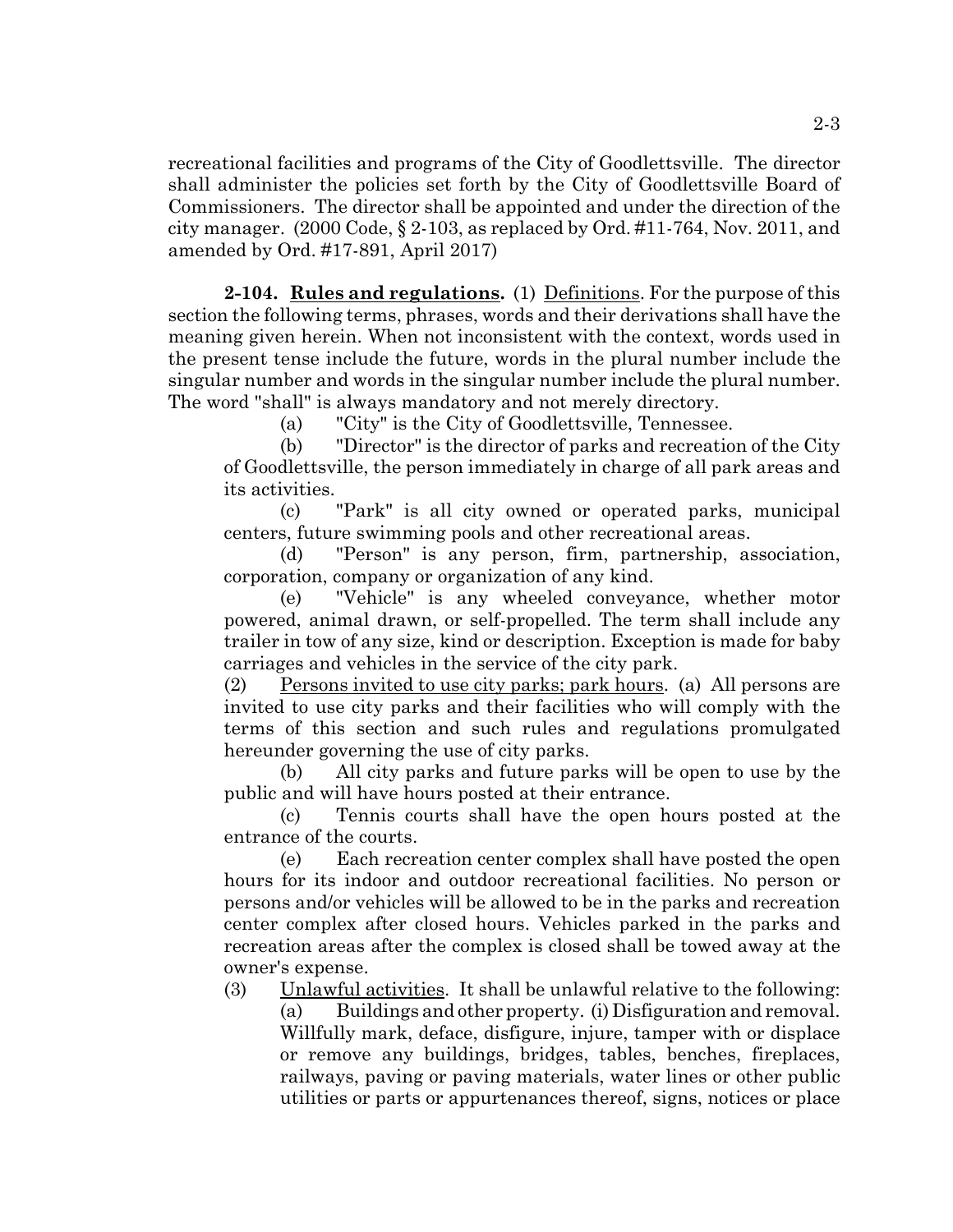recreational facilities and programs of the City of Goodlettsville. The director shall administer the policies set forth by the City of Goodlettsville Board of Commissioners. The director shall be appointed and under the direction of the city manager. (2000 Code, § 2-103, as replaced by Ord. #11-764, Nov. 2011, and amended by Ord. #17-891, April 2017)

**2-104. Rules and regulations.** (1) Definitions. For the purpose of this section the following terms, phrases, words and their derivations shall have the meaning given herein. When not inconsistent with the context, words used in the present tense include the future, words in the plural number include the singular number and words in the singular number include the plural number. The word "shall" is always mandatory and not merely directory.

(a) "City" is the City of Goodlettsville, Tennessee.

(b) "Director" is the director of parks and recreation of the City of Goodlettsville, the person immediately in charge of all park areas and its activities.

(c) "Park" is all city owned or operated parks, municipal centers, future swimming pools and other recreational areas.

(d) "Person" is any person, firm, partnership, association, corporation, company or organization of any kind.

(e) "Vehicle" is any wheeled conveyance, whether motor powered, animal drawn, or self-propelled. The term shall include any trailer in tow of any size, kind or description. Exception is made for baby carriages and vehicles in the service of the city park.

(2) Persons invited to use city parks; park hours. (a) All persons are invited to use city parks and their facilities who will comply with the terms of this section and such rules and regulations promulgated hereunder governing the use of city parks.

(b) All city parks and future parks will be open to use by the public and will have hours posted at their entrance.

(c) Tennis courts shall have the open hours posted at the entrance of the courts.

(e) Each recreation center complex shall have posted the open hours for its indoor and outdoor recreational facilities. No person or persons and/or vehicles will be allowed to be in the parks and recreation center complex after closed hours. Vehicles parked in the parks and recreation areas after the complex is closed shall be towed away at the owner's expense.

(3) Unlawful activities. It shall be unlawful relative to the following: (a) Buildings and other property. (i) Disfiguration and removal. Willfully mark, deface, disfigure, injure, tamper with or displace or remove any buildings, bridges, tables, benches, fireplaces, railways, paving or paving materials, water lines or other public utilities or parts or appurtenances thereof, signs, notices or place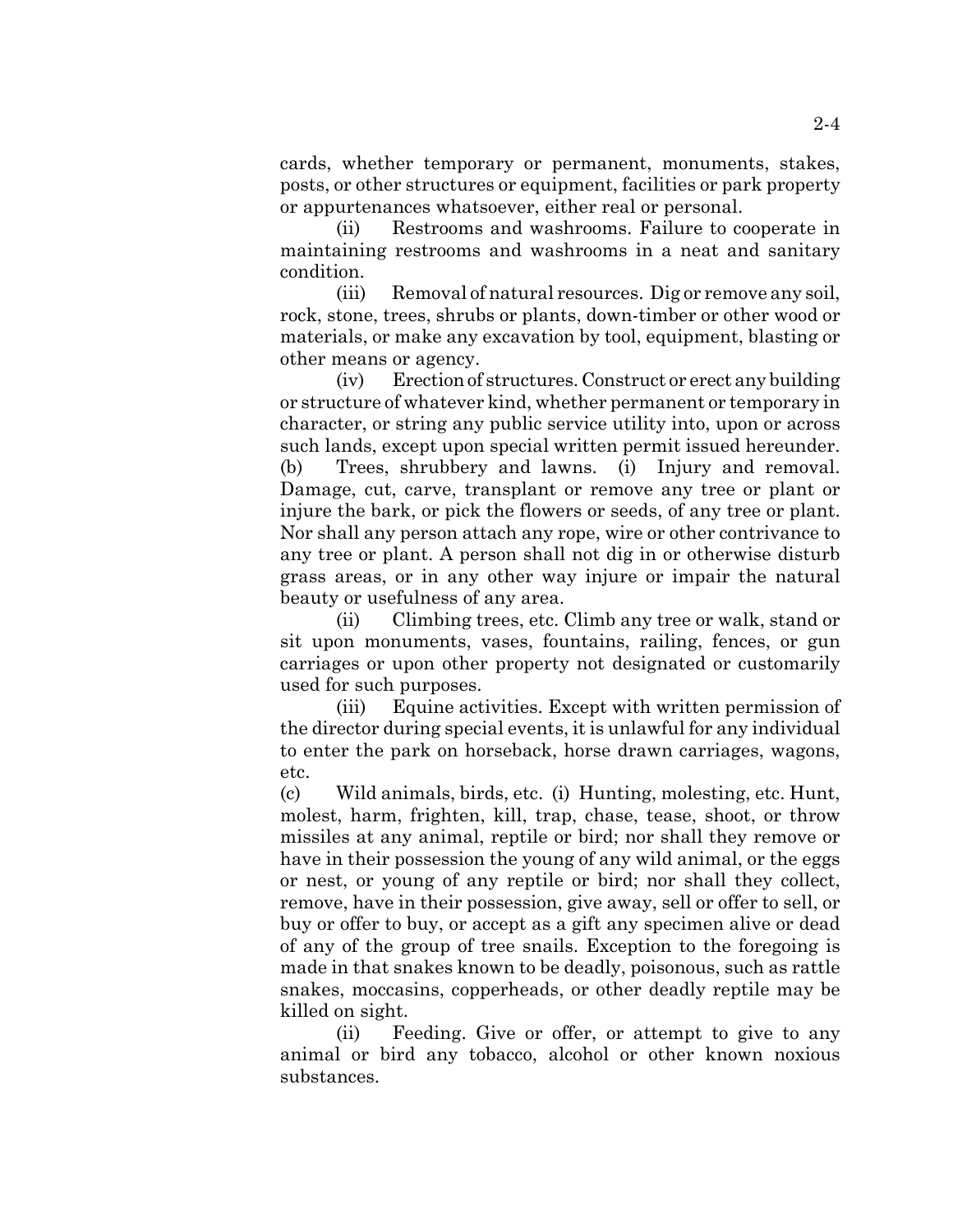cards, whether temporary or permanent, monuments, stakes, posts, or other structures or equipment, facilities or park property or appurtenances whatsoever, either real or personal.

(ii) Restrooms and washrooms. Failure to cooperate in maintaining restrooms and washrooms in a neat and sanitary condition.

(iii) Removal of natural resources. Dig or remove any soil, rock, stone, trees, shrubs or plants, down-timber or other wood or materials, or make any excavation by tool, equipment, blasting or other means or agency.

(iv) Erection of structures. Construct or erect any building or structure of whatever kind, whether permanent or temporary in character, or string any public service utility into, upon or across such lands, except upon special written permit issued hereunder. (b) Trees, shrubbery and lawns. (i) Injury and removal. Damage, cut, carve, transplant or remove any tree or plant or injure the bark, or pick the flowers or seeds, of any tree or plant. Nor shall any person attach any rope, wire or other contrivance to any tree or plant. A person shall not dig in or otherwise disturb grass areas, or in any other way injure or impair the natural beauty or usefulness of any area.

(ii) Climbing trees, etc. Climb any tree or walk, stand or sit upon monuments, vases, fountains, railing, fences, or gun carriages or upon other property not designated or customarily used for such purposes.

(iii) Equine activities. Except with written permission of the director during special events, it is unlawful for any individual to enter the park on horseback, horse drawn carriages, wagons, etc.

(c) Wild animals, birds, etc. (i) Hunting, molesting, etc. Hunt, molest, harm, frighten, kill, trap, chase, tease, shoot, or throw missiles at any animal, reptile or bird; nor shall they remove or have in their possession the young of any wild animal, or the eggs or nest, or young of any reptile or bird; nor shall they collect, remove, have in their possession, give away, sell or offer to sell, or buy or offer to buy, or accept as a gift any specimen alive or dead of any of the group of tree snails. Exception to the foregoing is made in that snakes known to be deadly, poisonous, such as rattle snakes, moccasins, copperheads, or other deadly reptile may be killed on sight.

(ii) Feeding. Give or offer, or attempt to give to any animal or bird any tobacco, alcohol or other known noxious substances.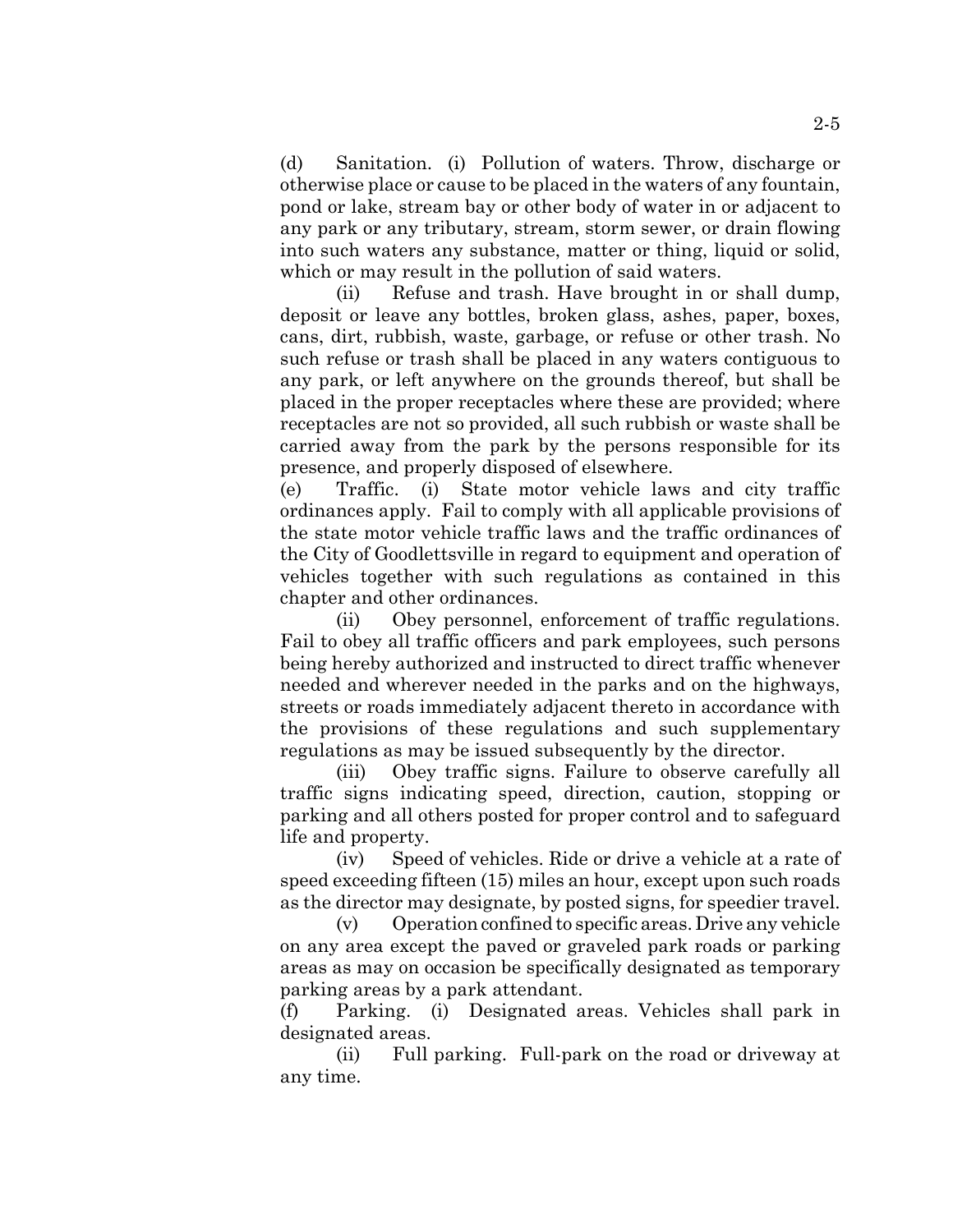(d) Sanitation. (i) Pollution of waters. Throw, discharge or otherwise place or cause to be placed in the waters of any fountain, pond or lake, stream bay or other body of water in or adjacent to any park or any tributary, stream, storm sewer, or drain flowing into such waters any substance, matter or thing, liquid or solid, which or may result in the pollution of said waters.

(ii) Refuse and trash. Have brought in or shall dump, deposit or leave any bottles, broken glass, ashes, paper, boxes, cans, dirt, rubbish, waste, garbage, or refuse or other trash. No such refuse or trash shall be placed in any waters contiguous to any park, or left anywhere on the grounds thereof, but shall be placed in the proper receptacles where these are provided; where receptacles are not so provided, all such rubbish or waste shall be carried away from the park by the persons responsible for its presence, and properly disposed of elsewhere.

(e) Traffic. (i) State motor vehicle laws and city traffic ordinances apply. Fail to comply with all applicable provisions of the state motor vehicle traffic laws and the traffic ordinances of the City of Goodlettsville in regard to equipment and operation of vehicles together with such regulations as contained in this chapter and other ordinances.

(ii) Obey personnel, enforcement of traffic regulations. Fail to obey all traffic officers and park employees, such persons being hereby authorized and instructed to direct traffic whenever needed and wherever needed in the parks and on the highways, streets or roads immediately adjacent thereto in accordance with the provisions of these regulations and such supplementary regulations as may be issued subsequently by the director.

(iii) Obey traffic signs. Failure to observe carefully all traffic signs indicating speed, direction, caution, stopping or parking and all others posted for proper control and to safeguard life and property.

(iv) Speed of vehicles. Ride or drive a vehicle at a rate of speed exceeding fifteen (15) miles an hour, except upon such roads as the director may designate, by posted signs, for speedier travel.

(v) Operation confined to specific areas. Drive any vehicle on any area except the paved or graveled park roads or parking areas as may on occasion be specifically designated as temporary parking areas by a park attendant.

(f) Parking. (i) Designated areas. Vehicles shall park in designated areas.

(ii) Full parking. Full-park on the road or driveway at any time.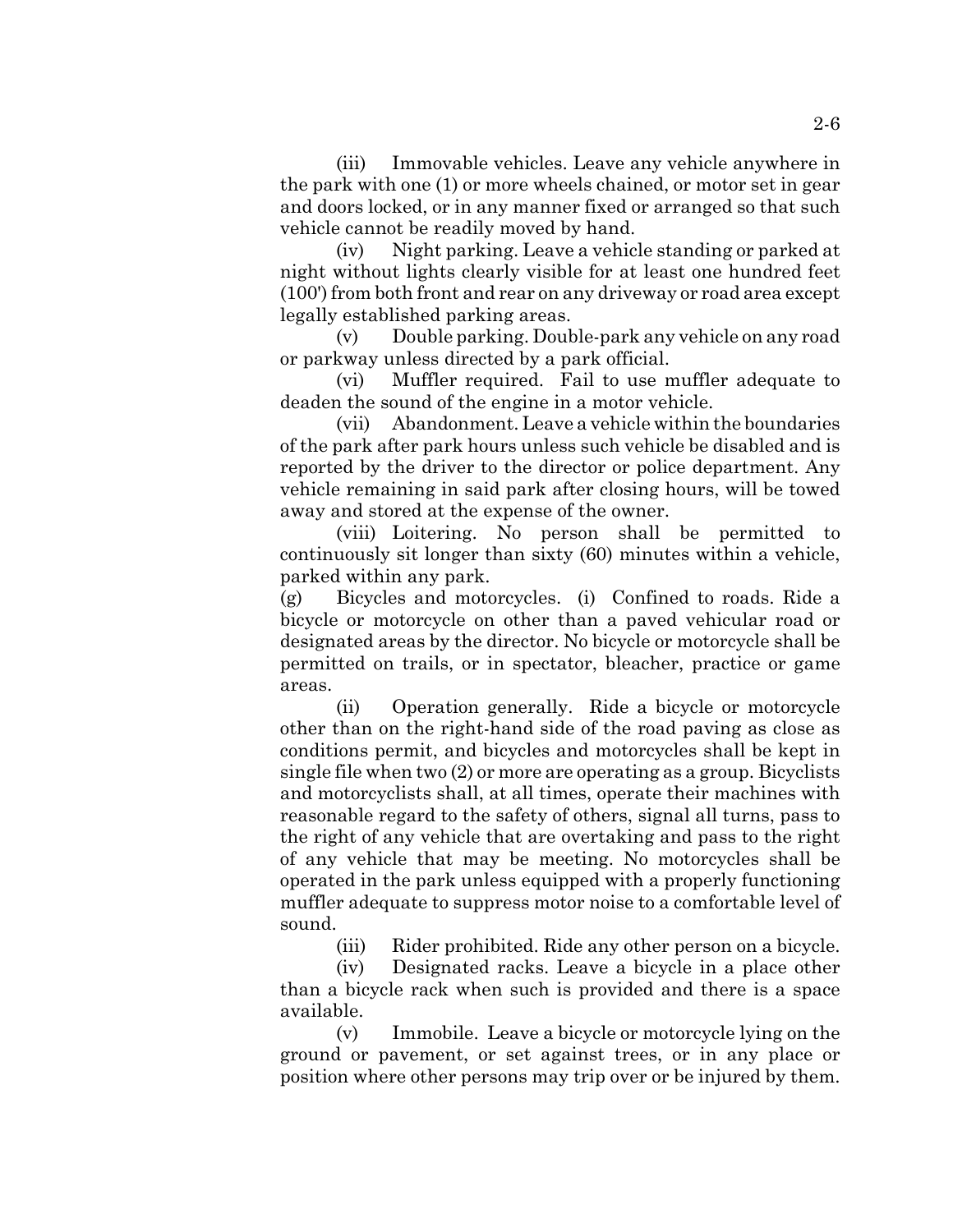(iii) Immovable vehicles. Leave any vehicle anywhere in the park with one (1) or more wheels chained, or motor set in gear and doors locked, or in any manner fixed or arranged so that such vehicle cannot be readily moved by hand.

(iv) Night parking. Leave a vehicle standing or parked at night without lights clearly visible for at least one hundred feet (100') from both front and rear on any driveway or road area except legally established parking areas.

(v) Double parking. Double-park any vehicle on any road or parkway unless directed by a park official.

(vi) Muffler required. Fail to use muffler adequate to deaden the sound of the engine in a motor vehicle.

(vii) Abandonment. Leave a vehicle within the boundaries of the park after park hours unless such vehicle be disabled and is reported by the driver to the director or police department. Any vehicle remaining in said park after closing hours, will be towed away and stored at the expense of the owner.

(viii) Loitering. No person shall be permitted to continuously sit longer than sixty (60) minutes within a vehicle, parked within any park.

(g) Bicycles and motorcycles. (i) Confined to roads. Ride a bicycle or motorcycle on other than a paved vehicular road or designated areas by the director. No bicycle or motorcycle shall be permitted on trails, or in spectator, bleacher, practice or game areas.

(ii) Operation generally. Ride a bicycle or motorcycle other than on the right-hand side of the road paving as close as conditions permit, and bicycles and motorcycles shall be kept in single file when two (2) or more are operating as a group. Bicyclists and motorcyclists shall, at all times, operate their machines with reasonable regard to the safety of others, signal all turns, pass to the right of any vehicle that are overtaking and pass to the right of any vehicle that may be meeting. No motorcycles shall be operated in the park unless equipped with a properly functioning muffler adequate to suppress motor noise to a comfortable level of sound.

(iii) Rider prohibited. Ride any other person on a bicycle.

(iv) Designated racks. Leave a bicycle in a place other than a bicycle rack when such is provided and there is a space available.

(v) Immobile. Leave a bicycle or motorcycle lying on the ground or pavement, or set against trees, or in any place or position where other persons may trip over or be injured by them.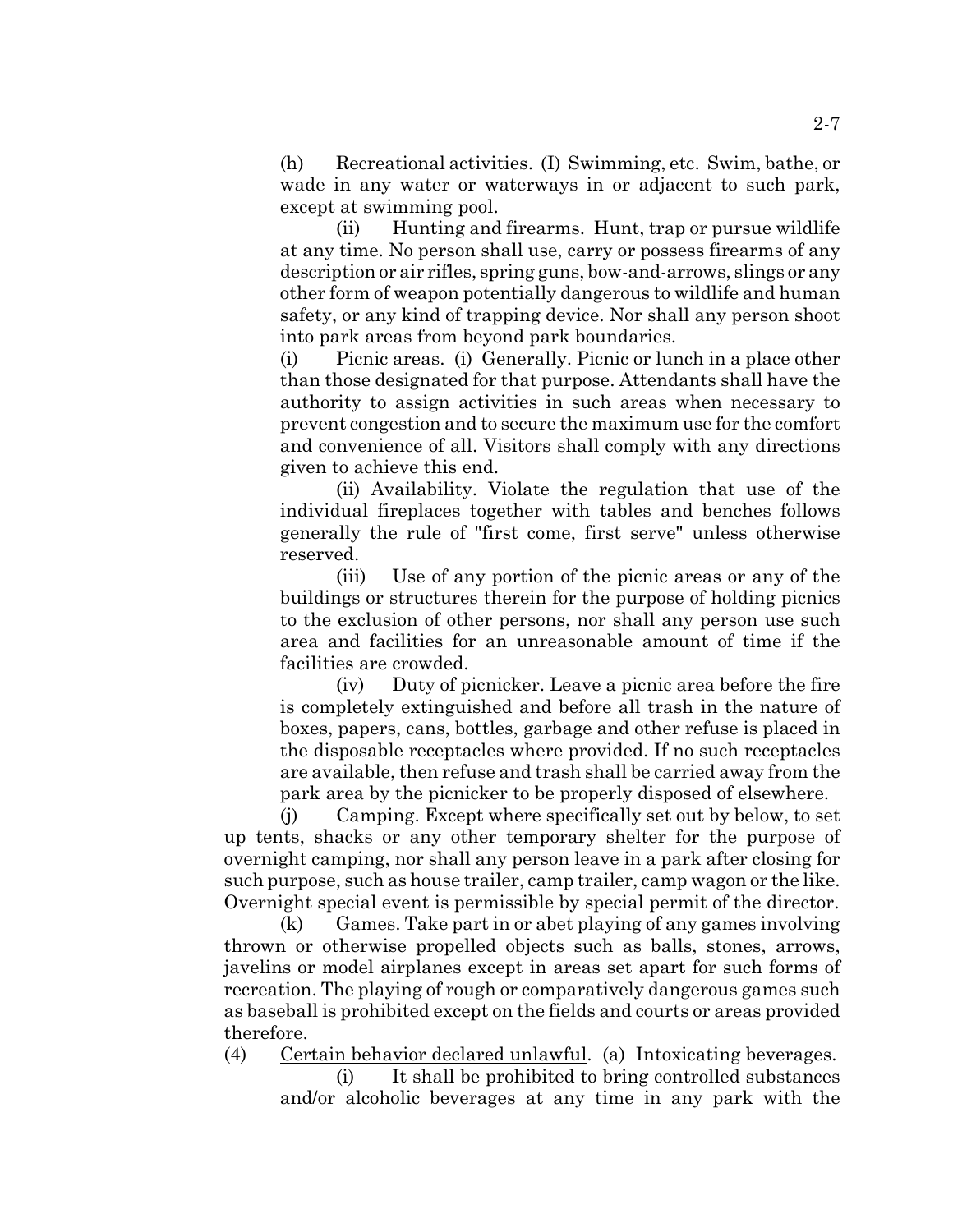(h) Recreational activities. (I) Swimming, etc. Swim, bathe, or wade in any water or waterways in or adjacent to such park, except at swimming pool.

(ii) Hunting and firearms. Hunt, trap or pursue wildlife at any time. No person shall use, carry or possess firearms of any description or air rifles, spring guns, bow-and-arrows, slings or any other form of weapon potentially dangerous to wildlife and human safety, or any kind of trapping device. Nor shall any person shoot into park areas from beyond park boundaries.

(i) Picnic areas. (i) Generally. Picnic or lunch in a place other than those designated for that purpose. Attendants shall have the authority to assign activities in such areas when necessary to prevent congestion and to secure the maximum use for the comfort and convenience of all. Visitors shall comply with any directions given to achieve this end.

(ii) Availability. Violate the regulation that use of the individual fireplaces together with tables and benches follows generally the rule of "first come, first serve" unless otherwise reserved.

(iii) Use of any portion of the picnic areas or any of the buildings or structures therein for the purpose of holding picnics to the exclusion of other persons, nor shall any person use such area and facilities for an unreasonable amount of time if the facilities are crowded.

(iv) Duty of picnicker. Leave a picnic area before the fire is completely extinguished and before all trash in the nature of boxes, papers, cans, bottles, garbage and other refuse is placed in the disposable receptacles where provided. If no such receptacles are available, then refuse and trash shall be carried away from the park area by the picnicker to be properly disposed of elsewhere.

(j) Camping. Except where specifically set out by below, to set up tents, shacks or any other temporary shelter for the purpose of overnight camping, nor shall any person leave in a park after closing for such purpose, such as house trailer, camp trailer, camp wagon or the like. Overnight special event is permissible by special permit of the director.

(k) Games. Take part in or abet playing of any games involving thrown or otherwise propelled objects such as balls, stones, arrows, javelins or model airplanes except in areas set apart for such forms of recreation. The playing of rough or comparatively dangerous games such as baseball is prohibited except on the fields and courts or areas provided therefore.

(4) Certain behavior declared unlawful. (a) Intoxicating beverages.

(i) It shall be prohibited to bring controlled substances and/or alcoholic beverages at any time in any park with the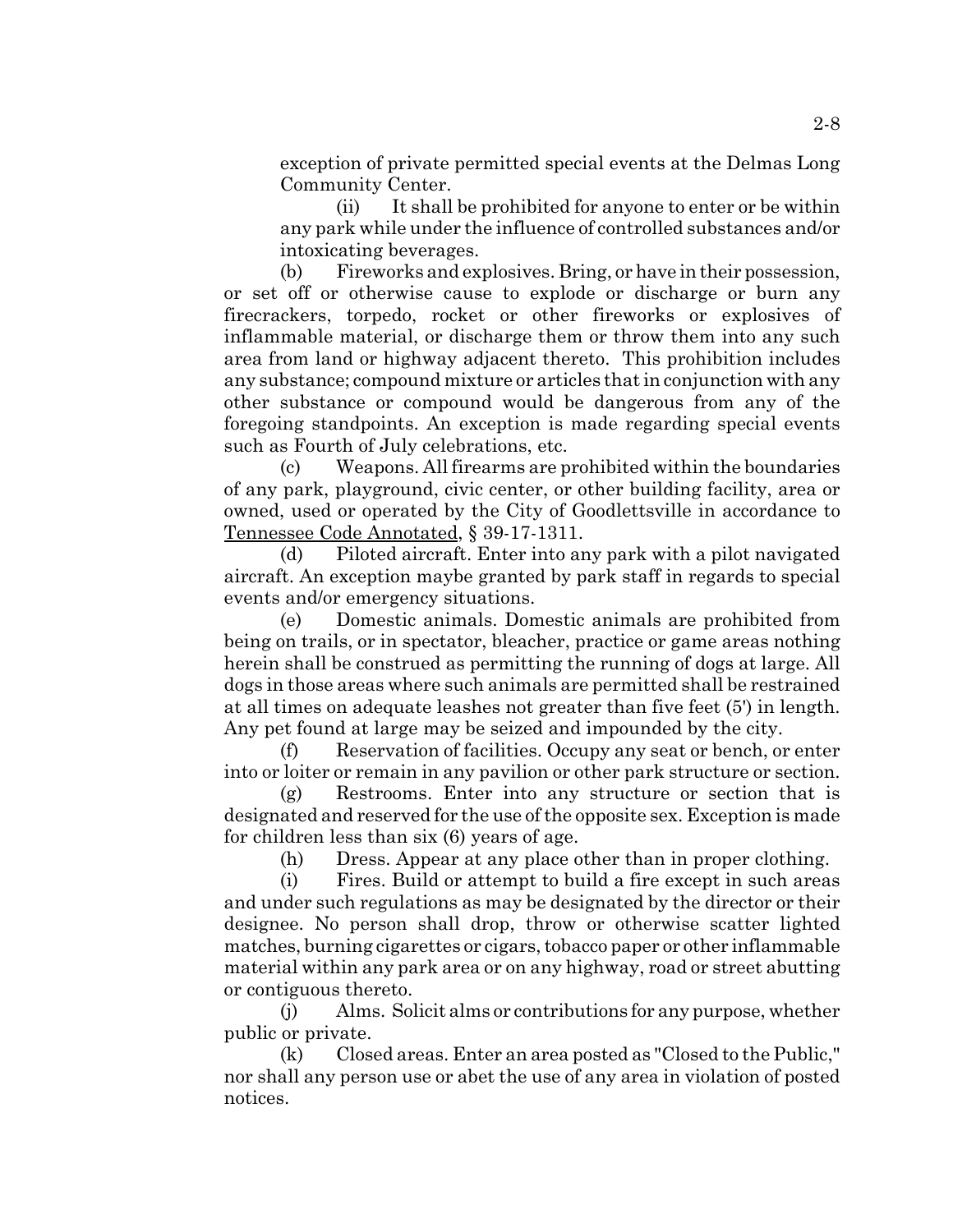exception of private permitted special events at the Delmas Long Community Center.

(ii) It shall be prohibited for anyone to enter or be within any park while under the influence of controlled substances and/or intoxicating beverages.

(b) Fireworks and explosives. Bring, or have in their possession, or set off or otherwise cause to explode or discharge or burn any firecrackers, torpedo, rocket or other fireworks or explosives of inflammable material, or discharge them or throw them into any such area from land or highway adjacent thereto. This prohibition includes any substance; compound mixture or articles that in conjunction with any other substance or compound would be dangerous from any of the foregoing standpoints. An exception is made regarding special events such as Fourth of July celebrations, etc.

(c) Weapons. All firearms are prohibited within the boundaries of any park, playground, civic center, or other building facility, area or owned, used or operated by the City of Goodlettsville in accordance to Tennessee Code Annotated, § 39-17-1311.

(d) Piloted aircraft. Enter into any park with a pilot navigated aircraft. An exception maybe granted by park staff in regards to special events and/or emergency situations.

(e) Domestic animals. Domestic animals are prohibited from being on trails, or in spectator, bleacher, practice or game areas nothing herein shall be construed as permitting the running of dogs at large. All dogs in those areas where such animals are permitted shall be restrained at all times on adequate leashes not greater than five feet (5') in length. Any pet found at large may be seized and impounded by the city.

(f) Reservation of facilities. Occupy any seat or bench, or enter into or loiter or remain in any pavilion or other park structure or section.

(g) Restrooms. Enter into any structure or section that is designated and reserved for the use of the opposite sex. Exception is made for children less than six (6) years of age.

(h) Dress. Appear at any place other than in proper clothing.

(i) Fires. Build or attempt to build a fire except in such areas and under such regulations as may be designated by the director or their designee. No person shall drop, throw or otherwise scatter lighted matches, burning cigarettes or cigars, tobacco paper or other inflammable material within any park area or on any highway, road or street abutting or contiguous thereto.

(j) Alms. Solicit alms or contributions for any purpose, whether public or private.

(k) Closed areas. Enter an area posted as "Closed to the Public," nor shall any person use or abet the use of any area in violation of posted notices.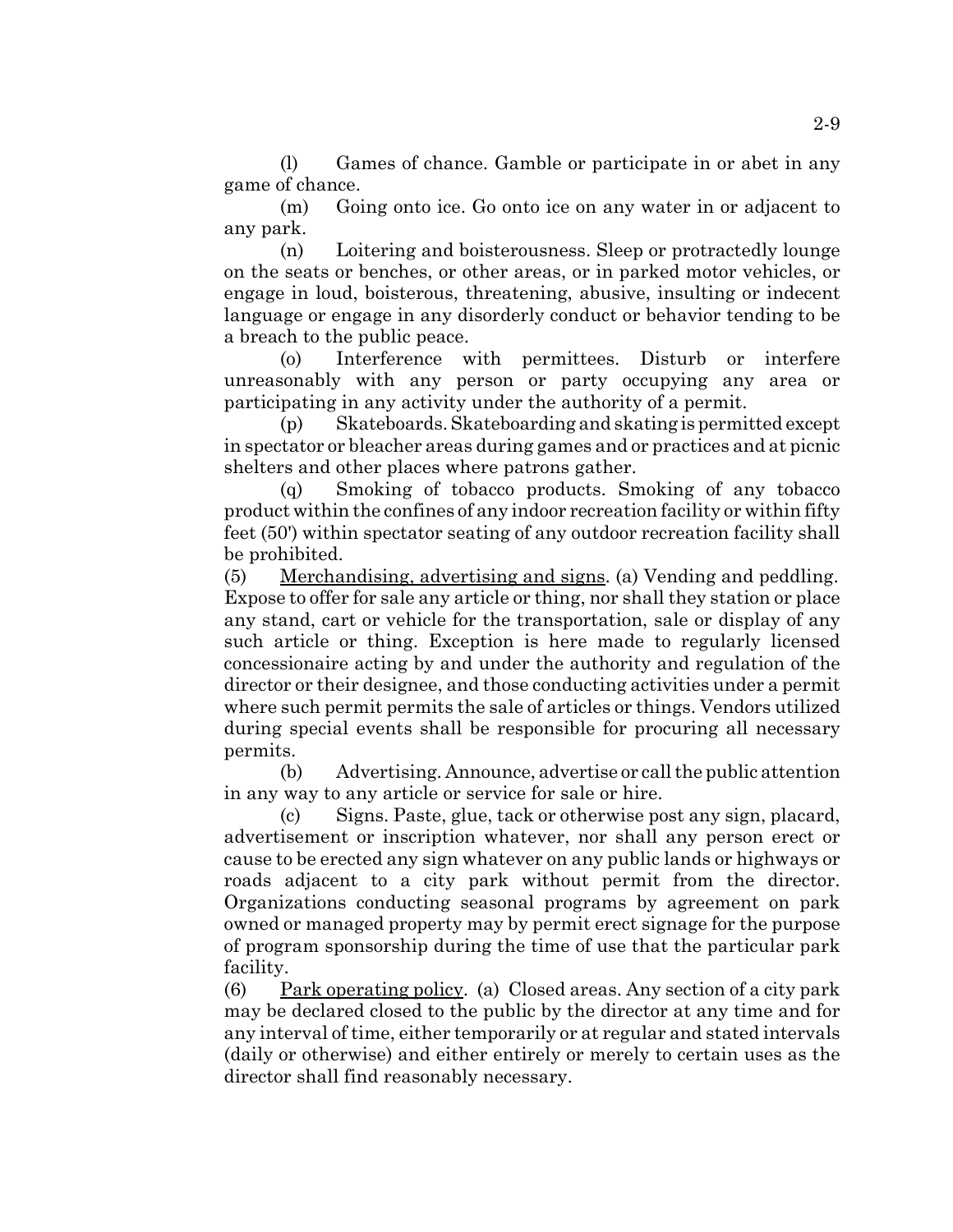(l) Games of chance. Gamble or participate in or abet in any game of chance.

(m) Going onto ice. Go onto ice on any water in or adjacent to any park.

(n) Loitering and boisterousness. Sleep or protractedly lounge on the seats or benches, or other areas, or in parked motor vehicles, or engage in loud, boisterous, threatening, abusive, insulting or indecent language or engage in any disorderly conduct or behavior tending to be a breach to the public peace.

(o) Interference with permittees. Disturb or interfere unreasonably with any person or party occupying any area or participating in any activity under the authority of a permit.

(p) Skateboards. Skateboarding and skating is permitted except in spectator or bleacher areas during games and or practices and at picnic shelters and other places where patrons gather.

(q) Smoking of tobacco products. Smoking of any tobacco product within the confines of any indoor recreation facility or within fifty feet (50') within spectator seating of any outdoor recreation facility shall be prohibited.

(5) Merchandising, advertising and signs. (a) Vending and peddling. Expose to offer for sale any article or thing, nor shall they station or place any stand, cart or vehicle for the transportation, sale or display of any such article or thing. Exception is here made to regularly licensed concessionaire acting by and under the authority and regulation of the director or their designee, and those conducting activities under a permit where such permit permits the sale of articles or things. Vendors utilized during special events shall be responsible for procuring all necessary permits.

(b) Advertising. Announce, advertise or call the public attention in any way to any article or service for sale or hire.

(c) Signs. Paste, glue, tack or otherwise post any sign, placard, advertisement or inscription whatever, nor shall any person erect or cause to be erected any sign whatever on any public lands or highways or roads adjacent to a city park without permit from the director. Organizations conducting seasonal programs by agreement on park owned or managed property may by permit erect signage for the purpose of program sponsorship during the time of use that the particular park facility.

(6) Park operating policy. (a) Closed areas. Any section of a city park may be declared closed to the public by the director at any time and for any interval of time, either temporarily or at regular and stated intervals (daily or otherwise) and either entirely or merely to certain uses as the director shall find reasonably necessary.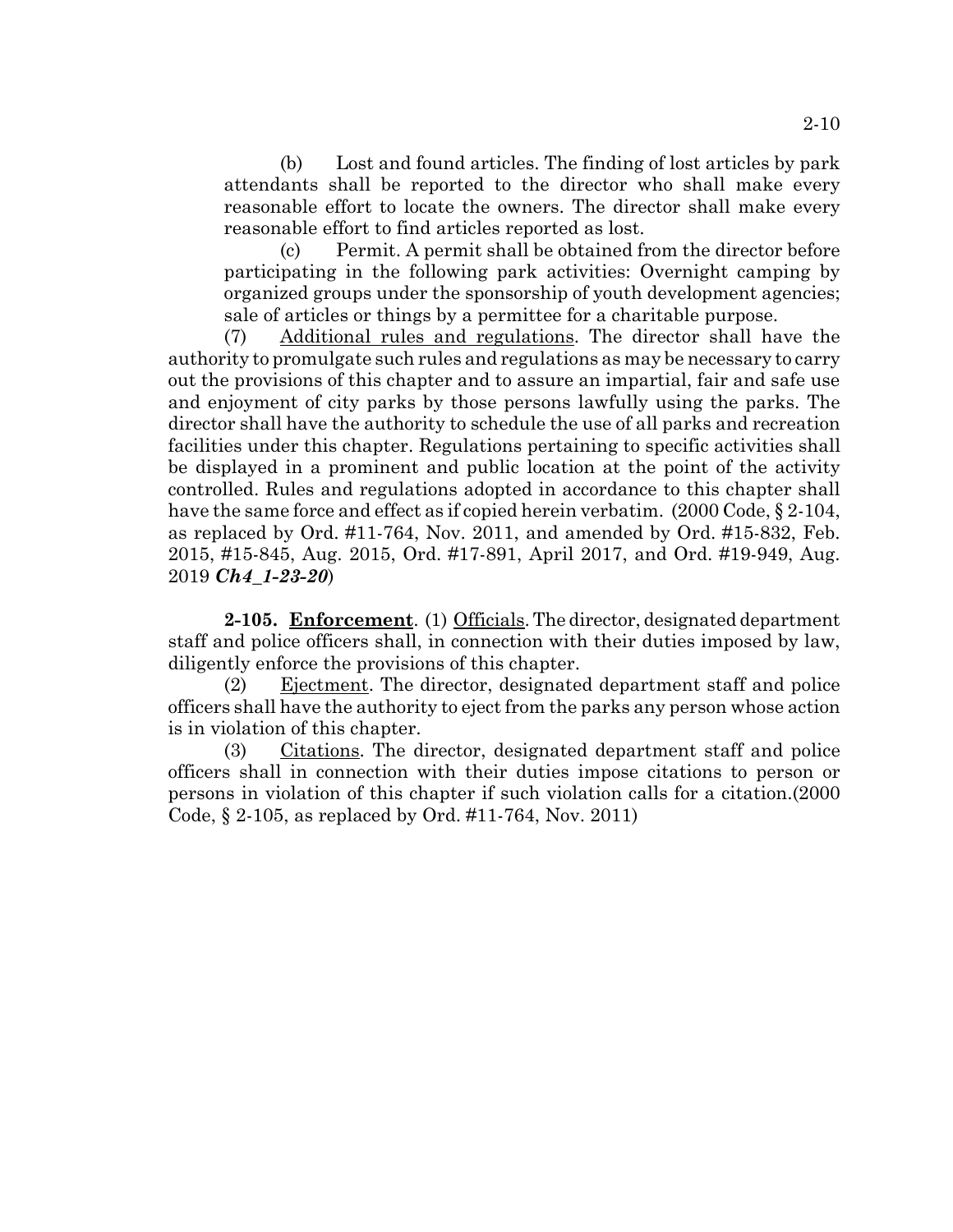(b) Lost and found articles. The finding of lost articles by park attendants shall be reported to the director who shall make every reasonable effort to locate the owners. The director shall make every reasonable effort to find articles reported as lost.

(c) Permit. A permit shall be obtained from the director before participating in the following park activities: Overnight camping by organized groups under the sponsorship of youth development agencies; sale of articles or things by a permittee for a charitable purpose.

(7) Additional rules and regulations. The director shall have the authority to promulgate such rules and regulations as may be necessary to carry out the provisions of this chapter and to assure an impartial, fair and safe use and enjoyment of city parks by those persons lawfully using the parks. The director shall have the authority to schedule the use of all parks and recreation facilities under this chapter. Regulations pertaining to specific activities shall be displayed in a prominent and public location at the point of the activity controlled. Rules and regulations adopted in accordance to this chapter shall have the same force and effect as if copied herein verbatim. (2000 Code, § 2-104, as replaced by Ord. #11-764, Nov. 2011, and amended by Ord. #15-832, Feb. 2015, #15-845, Aug. 2015, Ord. #17-891, April 2017, and Ord. #19-949, Aug. 2019 *Ch4\_1-23-20*)

**2-105. Enforcement**. (1) Officials. The director, designated department staff and police officers shall, in connection with their duties imposed by law, diligently enforce the provisions of this chapter.

(2) Ejectment. The director, designated department staff and police officers shall have the authority to eject from the parks any person whose action is in violation of this chapter.

(3) Citations. The director, designated department staff and police officers shall in connection with their duties impose citations to person or persons in violation of this chapter if such violation calls for a citation.(2000 Code, § 2-105, as replaced by Ord. #11-764, Nov. 2011)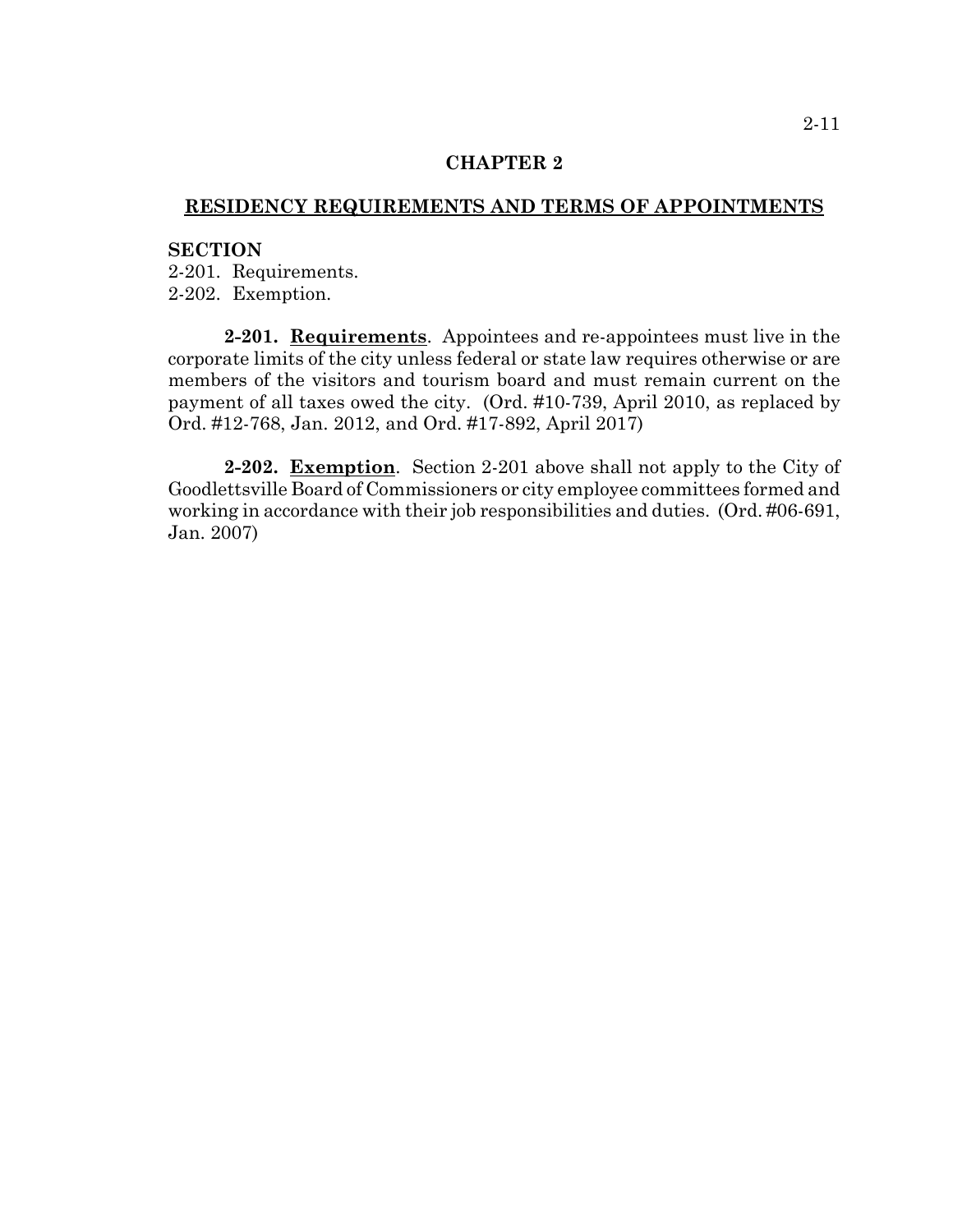### **CHAPTER 2**

## **RESIDENCY REQUIREMENTS AND TERMS OF APPOINTMENTS**

#### **SECTION**

2-201. Requirements. 2-202. Exemption.

**2-201. Requirements**. Appointees and re-appointees must live in the corporate limits of the city unless federal or state law requires otherwise or are members of the visitors and tourism board and must remain current on the payment of all taxes owed the city. (Ord. #10-739, April 2010, as replaced by Ord. #12-768, Jan. 2012, and Ord. #17-892, April 2017)

**2-202. Exemption**. Section 2-201 above shall not apply to the City of Goodlettsville Board of Commissioners or city employee committees formed and working in accordance with their job responsibilities and duties. (Ord. #06-691, Jan. 2007)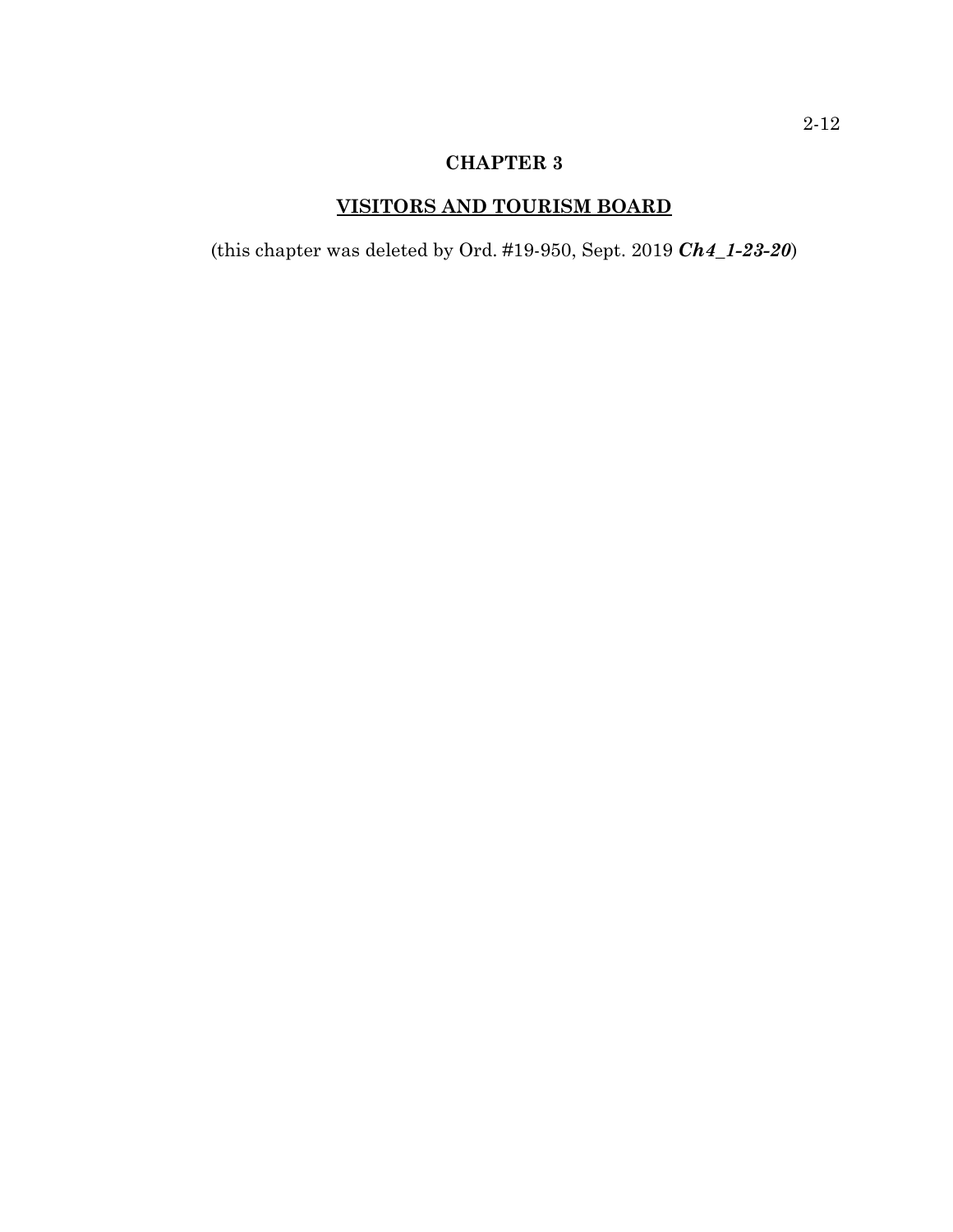# **CHAPTER 3**

# **VISITORS AND TOURISM BOARD**

(this chapter was deleted by Ord. #19-950, Sept. 2019 *Ch4\_1-23-20*)